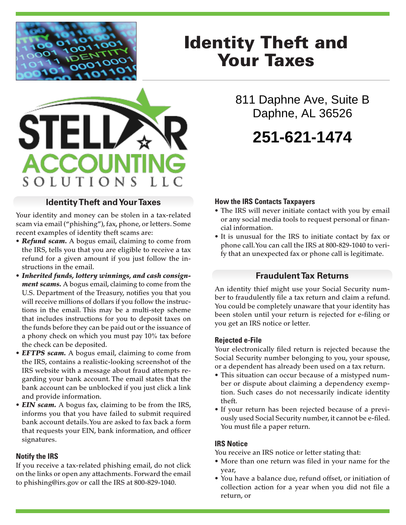

**STEL** 

**ACCOUNT** 

SOLUTIONS

# Identity Theft and Your Taxes

811 Daphne Ave, Suite B Daphne, AL 36526

# **251-621-1474**

## **Identity Theft and Your Taxes**

Your identity and money can be stolen in a tax-related scam via email ("phishing"), fax, phone, or letters. Some recent examples of identity theft scams are:

- *Refund scam.* A bogus email, claiming to come from the IRS, tells you that you are eligible to receive a tax refund for a given amount if you just follow the instructions in the email.
- *Inherited funds, lottery winnings, and cash consignment scams.* A bogus email, claiming to come from the U.S. Department of the Treasury, notifies you that you will receive millions of dollars if you follow the instructions in the email. This may be a multi-step scheme that includes instructions for you to deposit taxes on the funds before they can be paid out or the issuance of a phony check on which you must pay 10% tax before the check can be deposited.
- *EFTPS scam.* A bogus email, claiming to come from the IRS, contains a realistic-looking screenshot of the IRS website with a message about fraud attempts regarding your bank account. The email states that the bank account can be unblocked if you just click a link and provide information.
- *EIN scam.* A bogus fax, claiming to be from the IRS, informs you that you have failed to submit required bank account details. You are asked to fax back a form that requests your EIN, bank information, and officer signatures.

### **Notify the IRS**

If you receive a tax-related phishing email, do not click on the links or open any attachments. Forward the email to phishing@irs.gov or call the IRS at 800-829-1040.

### **How the IRS Contacts Taxpayers**

- The IRS will never initiate contact with you by email or any social media tools to request personal or financial information.
- It is unusual for the IRS to initiate contact by fax or phone call. You can call the IRS at 800-829-1040 to verify that an unexpected fax or phone call is legitimate.

### **Fraudulent Tax Returns**

An identity thief might use your Social Security number to fraudulently file a tax return and claim a refund. You could be completely unaware that your identity has been stolen until your return is rejected for e-filing or you get an IRS notice or letter.

#### **Rejected e-File**

Your electronically filed return is rejected because the Social Security number belonging to you, your spouse, or a dependent has already been used on a tax return.

- This situation can occur because of a mistyped number or dispute about claiming a dependency exemption. Such cases do not necessarily indicate identity theft.
- If your return has been rejected because of a previously used Social Security number, it cannot be e-filed. You must file a paper return.

#### **IRS Notice**

You receive an IRS notice or letter stating that:

- More than one return was filed in your name for the year,
- You have a balance due, refund offset, or initiation of collection action for a year when you did not file a return, or